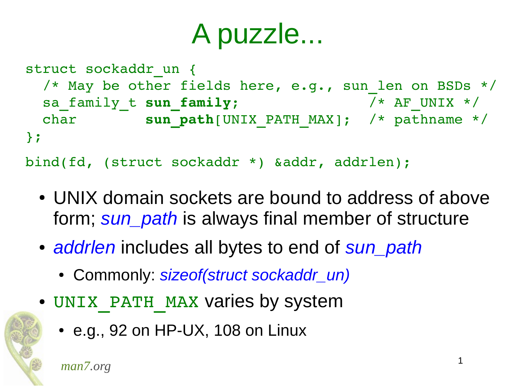```
struct sockaddr_un {
 /* May be other fields here, e.g., sun len on BSDs */
 sa family t sun family; /* AF UNIX */
 char sun path[UNIX PATH_MAX]; /* pathname */
};
bind(fd, (struct sockaddr *) &addr, addrlen);
```
- UNIX domain sockets are bound to address of above form; *sun\_path* is always final member of structure
- *addrlen* includes all bytes to end of *sun\_path* 
	- Commonly: *sizeof(struct sockaddr\_un)*
- UNIX PATH MAX varies by system
	- $\cdot$  e.g., 92 on HP-UX, 108 on Linux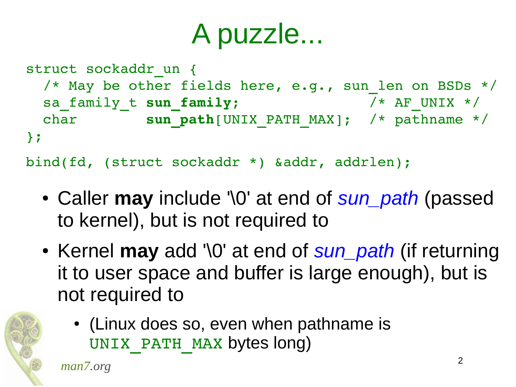```
struct sockaddr un {
 /* May be other fields here, e.g., sun len on BSDs */sa family t sun family; / /* AF UNIX */
 char sun path[UNIX PATH_MAX]; /* pathname */
};
bind(fd, (struct sockaddr *) &addr, addrlen);
```
- Caller **may** include '\0' at end of *sun\_path* (passed to kernel), but is not required to
- Kernel **may** add '\0' at end of *sun\_path* (if returning it to user space and buffer is large enough), but is not required to



• (Linux does so, even when pathname is UNIX PATH MAX bytes long)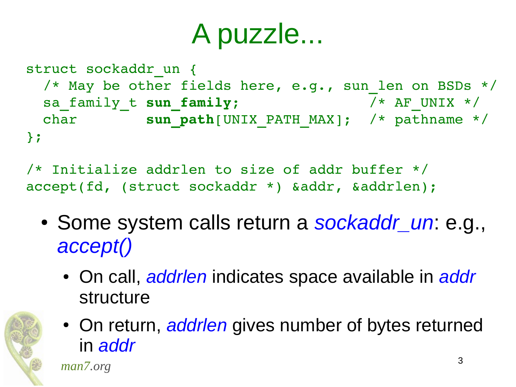```
struct sockaddr un {
 /* May be other fields here, e.g., sun len on BSDs */sa family t sun family; / /* AF UNIX */
 char sun path[UNIX PATH_MAX]; /* pathname */
};
```
/\* Initialize addrlen to size of addr buffer \*/ accept(fd, (struct sockaddr \*) &addr, &addrlen);

- Some system calls return a *sockaddr un*: e.g., *accept()*
	- On call, *addrlen* indicates space available in *addr* structure



• On return, *addrlen* gives number of bytes returned in *addr*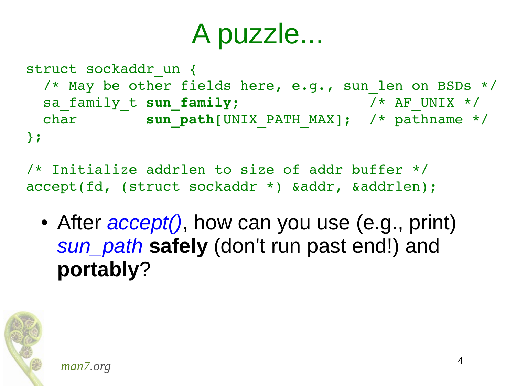```
struct sockaddr un {
 /* May be other fields here, e.g., sun len on BSDs */sa family t sun family; / /* AF UNIX */
 char sun path[UNIX PATH_MAX]; /* pathname */
};
```
/\* Initialize addrlen to size of addr buffer \*/ accept(fd, (struct sockaddr \*) &addr, &addrlen);

• After *accept()*, how can you use (e.g., print) *sun\_path* **safely** (don't run past end!) and **portably**?

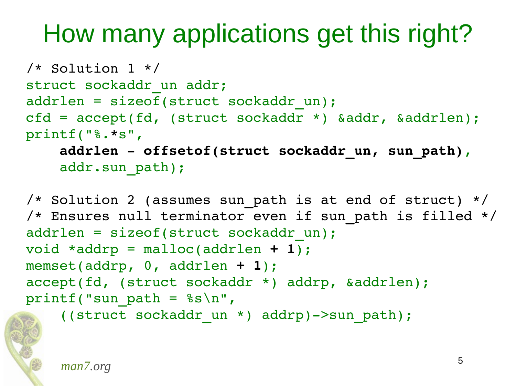#### How many applications get this right?

```
/* Solution 1 */
struct sockaddr un addr;
addrlen = sizeof(struct sockaddr un);
cfd = accept(fd, (struct sockaddr *) &addr, &addrlen);
printf("%.*s",
```
 **addrlen offsetof(struct sockaddr\_un, sun\_path)**, addr.sun path);

```
/* Solution 2 (assumes sun path is at end of struct) */
/* Ensures null terminator even if sun path is filled */
addrlen = sizeof(struct sockaddr un);
void *addrp = malloc(addrlen + 1);
memset(addrp, 0, addrlen + 1);
accept(fd, (struct sockaddr *) addrp, &addrlen);
printf("sun path = %s\nright|",
```
((struct sockaddr\_un \*) addrp)>sun\_path);